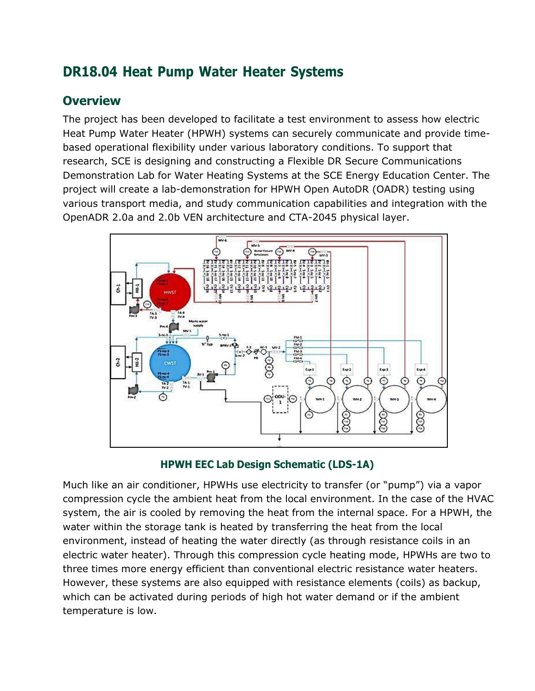# **DR18.04 Heat Pump Water Heater Systems**

# **Overview**

The project has been developed to facilitate a test environment to assess how electric Heat Pump Water Heater (HPWH) systems can securely communicate and provide timebased operational flexibility under various laboratory conditions. To support that research, SCE is designing and constructing a Flexible DR Secure Communications Demonstration Lab for Water Heating Systems at the SCE Energy Education Center. The project will create a lab-demonstration for HPWH Open AutoDR (OADR) testing using various transport media, and study communication capabilities and integration with the OpenADR 2.0a and 2.0b VEN architecture and CTA-2045 physical layer.



**HPWH EEC Lab Design Schematic (LDS-1A)**

Much like an air conditioner, HPWHs use electricity to transfer (or "pump") via a vapor compression cycle the ambient heat from the local environment. In the case of the HVAC system, the air is cooled by removing the heat from the internal space. For a HPWH, the water within the storage tank is heated by transferring the heat from the local environment, instead of heating the water directly (as through resistance coils in an electric water heater). Through this compression cycle heating mode, HPWHs are two to three times more energy efficient than conventional electric resistance water heaters. However, these systems are also equipped with resistance elements (coils) as backup, which can be activated during periods of high hot water demand or if the ambient temperature is low.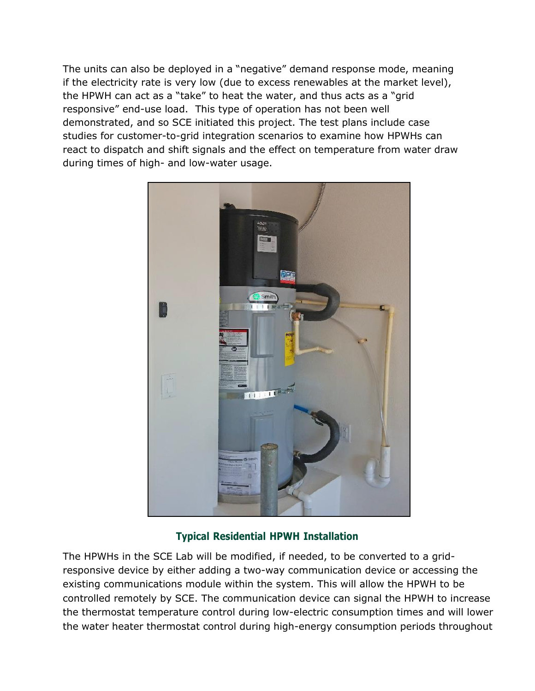The units can also be deployed in a "negative" demand response mode, meaning if the electricity rate is very low (due to excess renewables at the market level), the HPWH can act as a "take" to heat the water, and thus acts as a "grid responsive" end-use load. This type of operation has not been well demonstrated, and so SCE initiated this project. The test plans include case studies for customer-to-grid integration scenarios to examine how HPWHs can react to dispatch and shift signals and the effect on temperature from water draw during times of high- and low-water usage.



### **Typical Residential HPWH Installation**

The HPWHs in the SCE Lab will be modified, if needed, to be converted to a gridresponsive device by either adding a two-way communication device or accessing the existing communications module within the system. This will allow the HPWH to be controlled remotely by SCE. The communication device can signal the HPWH to increase the thermostat temperature control during low-electric consumption times and will lower the water heater thermostat control during high-energy consumption periods throughout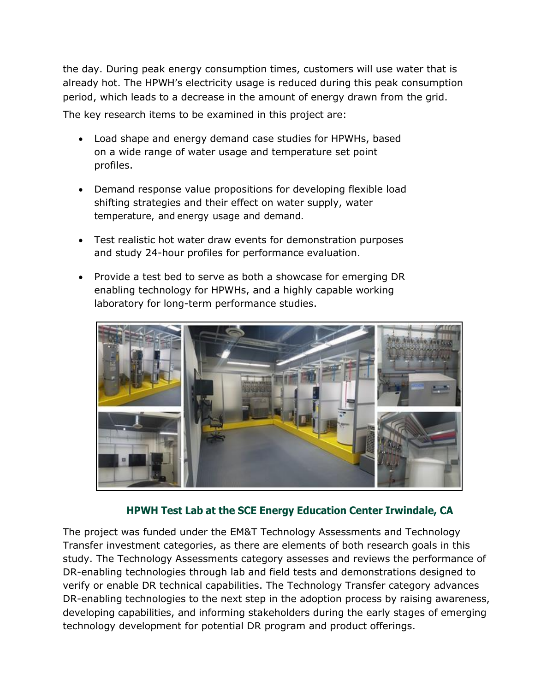the day. During peak energy consumption times, customers will use water that is already hot. The HPWH's electricity usage is reduced during this peak consumption period, which leads to a decrease in the amount of energy drawn from the grid. The key research items to be examined in this project are:

- Load shape and energy demand case studies for HPWHs, based on a wide range of water usage and temperature set point profiles.
- Demand response value propositions for developing flexible load shifting strategies and their effect on water supply, water temperature, and energy usage and demand.
- Test realistic hot water draw events for demonstration purposes and study 24-hour profiles for performance evaluation.
- Provide a test bed to serve as both a showcase for emerging DR enabling technology for HPWHs, and a highly capable working laboratory for long-term performance studies.



### **HPWH Test Lab at the SCE Energy Education Center Irwindale, CA**

The project was funded under the EM&T Technology Assessments and Technology Transfer investment categories, as there are elements of both research goals in this study. The Technology Assessments category assesses and reviews the performance of DR-enabling technologies through lab and field tests and demonstrations designed to verify or enable DR technical capabilities. The Technology Transfer category advances DR-enabling technologies to the next step in the adoption process by raising awareness, developing capabilities, and informing stakeholders during the early stages of emerging technology development for potential DR program and product offerings.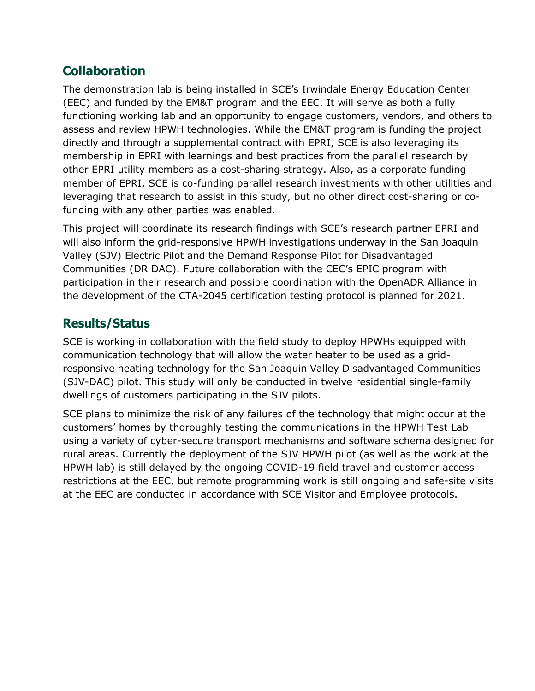# **Collaboration**

The demonstration lab is being installed in SCE's Irwindale Energy Education Center (EEC) and funded by the EM&T program and the EEC. It will serve as both a fully functioning working lab and an opportunity to engage customers, vendors, and others to assess and review HPWH technologies. While the EM&T program is funding the project directly and through a supplemental contract with EPRI, SCE is also leveraging its membership in EPRI with learnings and best practices from the parallel research by other EPRI utility members as a cost-sharing strategy. Also, as a corporate funding member of EPRI, SCE is co-funding parallel research investments with other utilities and leveraging that research to assist in this study, but no other direct cost-sharing or cofunding with any other parties was enabled.

This project will coordinate its research findings with SCE's research partner EPRI and will also inform the grid-responsive HPWH investigations underway in the San Joaquin Valley (SJV) Electric Pilot and the Demand Response Pilot for Disadvantaged Communities (DR DAC). Future collaboration with the CEC's EPIC program with participation in their research and possible coordination with the OpenADR Alliance in the development of the CTA-2045 certification testing protocol is planned for 2021.

# **Results/Status**

SCE is working in collaboration with the field study to deploy HPWHs equipped with communication technology that will allow the water heater to be used as a gridresponsive heating technology for the San Joaquin Valley Disadvantaged Communities (SJV-DAC) pilot. This study will only be conducted in twelve residential single-family dwellings of customers participating in the SJV pilots.

SCE plans to minimize the risk of any failures of the technology that might occur at the customers' homes by thoroughly testing the communications in the HPWH Test Lab using a variety of cyber-secure transport mechanisms and software schema designed for rural areas. Currently the deployment of the SJV HPWH pilot (as well as the work at the HPWH lab) is still delayed by the ongoing COVID-19 field travel and customer access restrictions at the EEC, but remote programming work is still ongoing and safe-site visits at the EEC are conducted in accordance with SCE Visitor and Employee protocols.